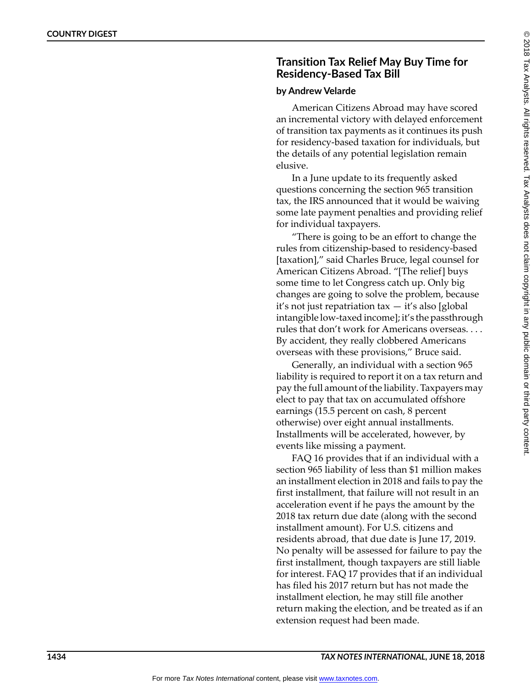## **Transition Tax Relief May Buy Time for Residency-Based Tax Bill**

## **by Andrew Velarde**

American Citizens Abroad may have scored an incremental victory with delayed enforcement of transition tax payments as it continues its push for residency-based taxation for individuals, but the details of any potential legislation remain elusive.

In a June update to its frequently asked questions concerning the section 965 transition tax, the IRS announced that it would be waiving some late payment penalties and providing relief for individual taxpayers.

"There is going to be an effort to change the rules from citizenship-based to residency-based [taxation]," said Charles Bruce, legal counsel for American Citizens Abroad. "[The relief] buys some time to let Congress catch up. Only big changes are going to solve the problem, because it's not just repatriation tax — it's also [global intangible low-taxed income]; it's the passthrough rules that don't work for Americans overseas. . . . By accident, they really clobbered Americans overseas with these provisions," Bruce said.

Generally, an individual with a section 965 liability is required to report it on a tax return and pay the full amount of the liability. Taxpayers may elect to pay that tax on accumulated offshore earnings (15.5 percent on cash, 8 percent otherwise) over eight annual installments. Installments will be accelerated, however, by events like missing a payment.

FAQ 16 provides that if an individual with a section 965 liability of less than \$1 million makes an installment election in 2018 and fails to pay the first installment, that failure will not result in an acceleration event if he pays the amount by the 2018 tax return due date (along with the second installment amount). For U.S. citizens and residents abroad, that due date is June 17, 2019. No penalty will be assessed for failure to pay the first installment, though taxpayers are still liable for interest. FAQ 17 provides that if an individual has filed his 2017 return but has not made the installment election, he may still file another return making the election, and be treated as if an extension request had been made.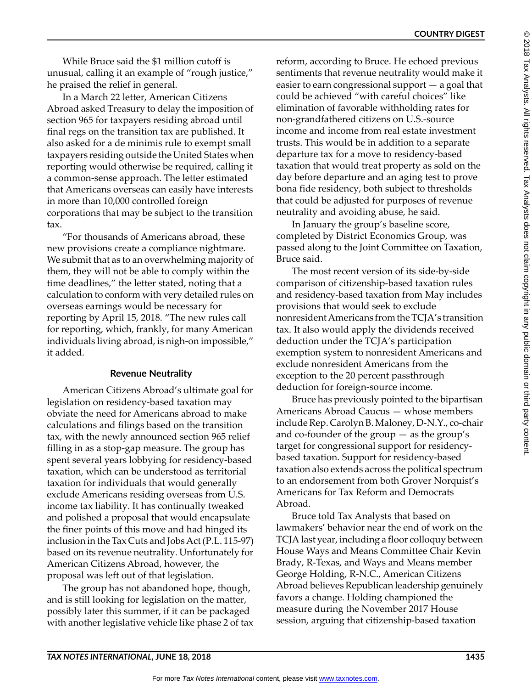While Bruce said the \$1 million cutoff is unusual, calling it an example of "rough justice," he praised the relief in general.

In a March 22 letter, American Citizens Abroad asked Treasury to delay the imposition of section 965 for taxpayers residing abroad until final regs on the transition tax are published. It also asked for a de minimis rule to exempt small taxpayers residing outside the United States when reporting would otherwise be required, calling it a common-sense approach. The letter estimated that Americans overseas can easily have interests in more than 10,000 controlled foreign corporations that may be subject to the transition tax.

"For thousands of Americans abroad, these new provisions create a compliance nightmare. We submit that as to an overwhelming majority of them, they will not be able to comply within the time deadlines," the letter stated, noting that a calculation to conform with very detailed rules on overseas earnings would be necessary for reporting by April 15, 2018. "The new rules call for reporting, which, frankly, for many American individuals living abroad, is nigh-on impossible," it added.

## **Revenue Neutrality**

American Citizens Abroad's ultimate goal for legislation on residency-based taxation may obviate the need for Americans abroad to make calculations and filings based on the transition tax, with the newly announced section 965 relief filling in as a stop-gap measure. The group has spent several years lobbying for residency-based taxation, which can be understood as territorial taxation for individuals that would generally exclude Americans residing overseas from U.S. income tax liability. It has continually tweaked and polished a proposal that would encapsulate the finer points of this move and had hinged its inclusion in the Tax Cuts and Jobs Act (P.L. 115-97) based on its revenue neutrality. Unfortunately for American Citizens Abroad, however, the proposal was left out of that legislation.

The group has not abandoned hope, though, and is still looking for legislation on the matter, possibly later this summer, if it can be packaged with another legislative vehicle like phase 2 of tax reform, according to Bruce. He echoed previous sentiments that revenue neutrality would make it easier to earn congressional support — a goal that could be achieved "with careful choices" like elimination of favorable withholding rates for non-grandfathered citizens on U.S.-source income and income from real estate investment trusts. This would be in addition to a separate departure tax for a move to residency-based taxation that would treat property as sold on the day before departure and an aging test to prove bona fide residency, both subject to thresholds that could be adjusted for purposes of revenue neutrality and avoiding abuse, he said.

In January the group's baseline score, completed by District Economics Group, was passed along to the Joint Committee on Taxation, Bruce said.

The most recent version of its side-by-side comparison of citizenship-based taxation rules and residency-based taxation from May includes provisions that would seek to exclude nonresident Americans from the TCJA's transition tax. It also would apply the dividends received deduction under the TCJA's participation exemption system to nonresident Americans and exclude nonresident Americans from the exception to the 20 percent passthrough deduction for foreign-source income.

Bruce has previously pointed to the bipartisan Americans Abroad Caucus — whose members include Rep. Carolyn B. Maloney, D-N.Y., co-chair and co-founder of the group — as the group's target for congressional support for residencybased taxation. Support for residency-based taxation also extends across the political spectrum to an endorsement from both Grover Norquist's Americans for Tax Reform and Democrats Abroad.

Bruce told Tax Analysts that based on lawmakers' behavior near the end of work on the TCJA last year, including a floor colloquy between House Ways and Means Committee Chair Kevin Brady, R-Texas, and Ways and Means member George Holding, R-N.C., American Citizens Abroad believes Republican leadership genuinely favors a change. Holding championed the measure during the November 2017 House session, arguing that citizenship-based taxation